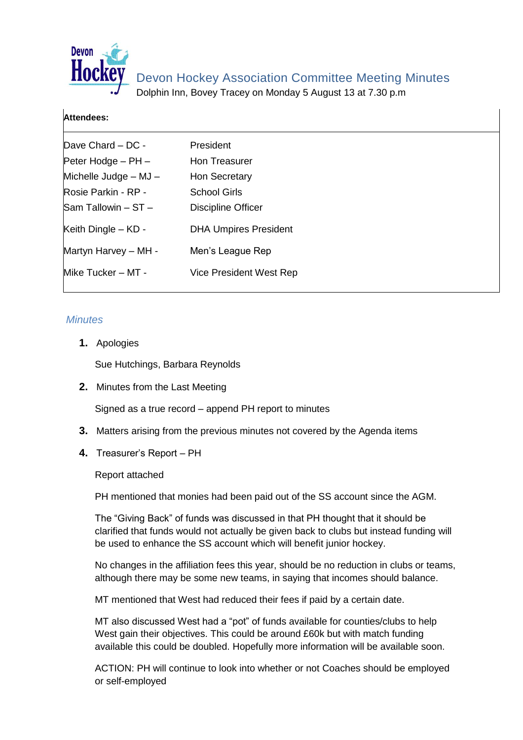

Devon Hockey Association Committee Meeting Minutes

Dolphin Inn, Bovey Tracey on Monday 5 August 13 at 7.30 p.m

## **Attendees:**

| Dave Chard - DC -      | President                    |  |
|------------------------|------------------------------|--|
| Peter Hodge $-$ PH $-$ | Hon Treasurer                |  |
| Michelle Judge - MJ -  | Hon Secretary                |  |
| Rosie Parkin - RP -    | <b>School Girls</b>          |  |
| Sam Tallowin - ST -    | Discipline Officer           |  |
| Keith Dingle – KD -    | <b>DHA Umpires President</b> |  |
| Martyn Harvey - MH -   | Men's League Rep             |  |
| Mike Tucker - MT -     | Vice President West Rep      |  |

## *Minutes*

**1.** Apologies

Sue Hutchings, Barbara Reynolds

**2.** Minutes from the Last Meeting

Signed as a true record – append PH report to minutes

- **3.** Matters arising from the previous minutes not covered by the Agenda items
- **4.** Treasurer's Report PH

Report attached

PH mentioned that monies had been paid out of the SS account since the AGM.

The "Giving Back" of funds was discussed in that PH thought that it should be clarified that funds would not actually be given back to clubs but instead funding will be used to enhance the SS account which will benefit junior hockey.

No changes in the affiliation fees this year, should be no reduction in clubs or teams, although there may be some new teams, in saying that incomes should balance.

MT mentioned that West had reduced their fees if paid by a certain date.

MT also discussed West had a "pot" of funds available for counties/clubs to help West gain their objectives. This could be around £60k but with match funding available this could be doubled. Hopefully more information will be available soon.

ACTION: PH will continue to look into whether or not Coaches should be employed or self-employed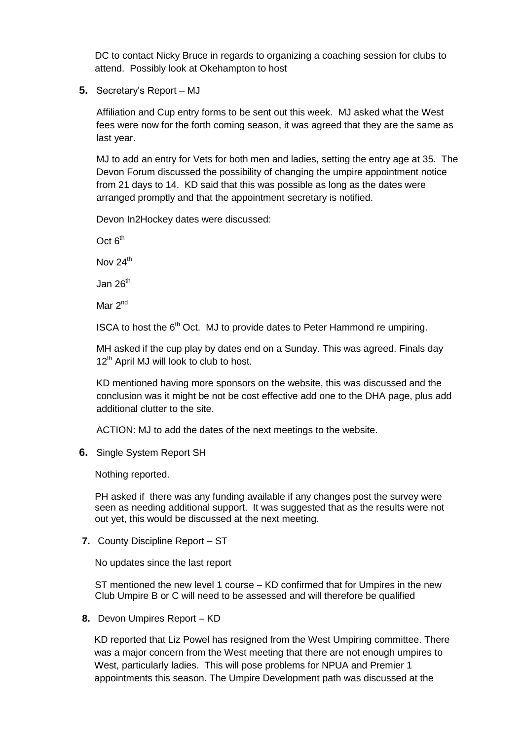DC to contact Nicky Bruce in regards to organizing a coaching session for clubs to attend. Possibly look at Okehampton to host

**5.** Secretary's Report – MJ

Affiliation and Cup entry forms to be sent out this week. MJ asked what the West fees were now for the forth coming season, it was agreed that they are the same as last year.

MJ to add an entry for Vets for both men and ladies, setting the entry age at 35. The Devon Forum discussed the possibility of changing the umpire appointment notice from 21 days to 14. KD said that this was possible as long as the dates were arranged promptly and that the appointment secretary is notified.

Devon In2Hockey dates were discussed:

Oct  $6<sup>th</sup>$ 

Nov  $24<sup>th</sup>$ 

Jan  $26<sup>th</sup>$ 

Mar 2<sup>nd</sup>

ISCA to host the  $6<sup>th</sup>$  Oct. MJ to provide dates to Peter Hammond re umpiring.

MH asked if the cup play by dates end on a Sunday. This was agreed. Finals day 12<sup>th</sup> April MJ will look to club to host.

KD mentioned having more sponsors on the website, this was discussed and the conclusion was it might be not be cost effective add one to the DHA page, plus add additional clutter to the site.

ACTION: MJ to add the dates of the next meetings to the website.

**6.** Single System Report SH

Nothing reported.

PH asked if there was any funding available if any changes post the survey were seen as needing additional support. It was suggested that as the results were not out yet, this would be discussed at the next meeting.

**7.** County Discipline Report – ST

No updates since the last report

ST mentioned the new level 1 course – KD confirmed that for Umpires in the new Club Umpire B or C will need to be assessed and will therefore be qualified

**8.** Devon Umpires Report – KD

KD reported that Liz Powel has resigned from the West Umpiring committee. There was a major concern from the West meeting that there are not enough umpires to West, particularly ladies. This will pose problems for NPUA and Premier 1 appointments this season. The Umpire Development path was discussed at the